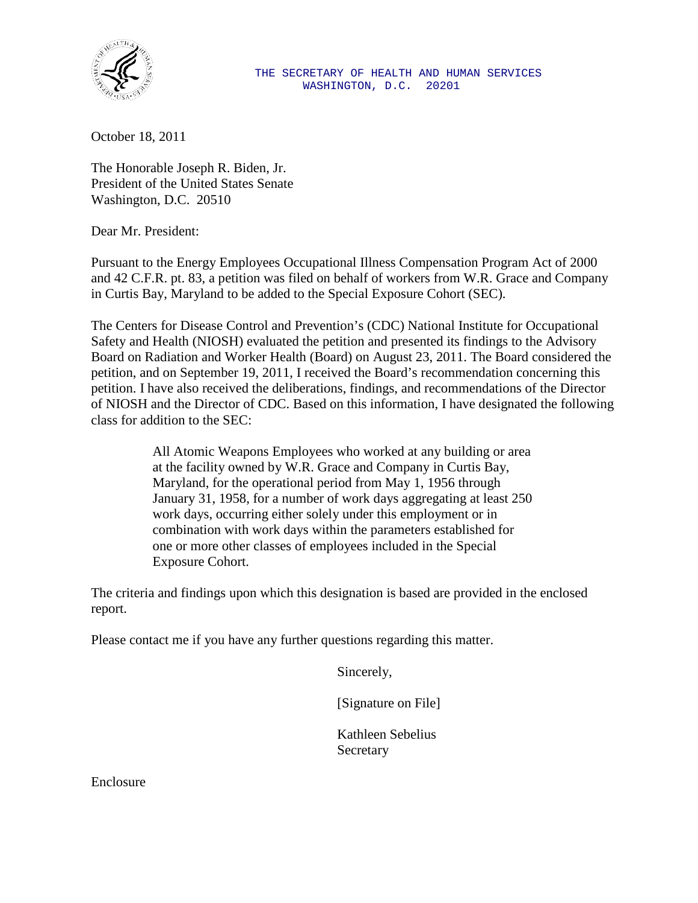

October 18, 2011

The Honorable Joseph R. Biden, Jr. President of the United States Senate Washington, D.C. 20510

Dear Mr. President:

Pursuant to the Energy Employees Occupational Illness Compensation Program Act of 2000 and 42 C.F.R. pt. 83, a petition was filed on behalf of workers from W.R. Grace and Company in Curtis Bay, Maryland to be added to the Special Exposure Cohort (SEC).

The Centers for Disease Control and Prevention's (CDC) National Institute for Occupational Safety and Health (NIOSH) evaluated the petition and presented its findings to the Advisory Board on Radiation and Worker Health (Board) on August 23, 2011. The Board considered the petition, and on September 19, 2011, I received the Board's recommendation concerning this petition. I have also received the deliberations, findings, and recommendations of the Director of NIOSH and the Director of CDC. Based on this information, I have designated the following class for addition to the SEC:

> All Atomic Weapons Employees who worked at any building or area at the facility owned by W.R. Grace and Company in Curtis Bay, Maryland, for the operational period from May 1, 1956 through January 31, 1958, for a number of work days aggregating at least 250 work days, occurring either solely under this employment or in combination with work days within the parameters established for one or more other classes of employees included in the Special Exposure Cohort.

The criteria and findings upon which this designation is based are provided in the enclosed report.

Please contact me if you have any further questions regarding this matter.

Sincerely,

[Signature on File]

Kathleen Sebelius Secretary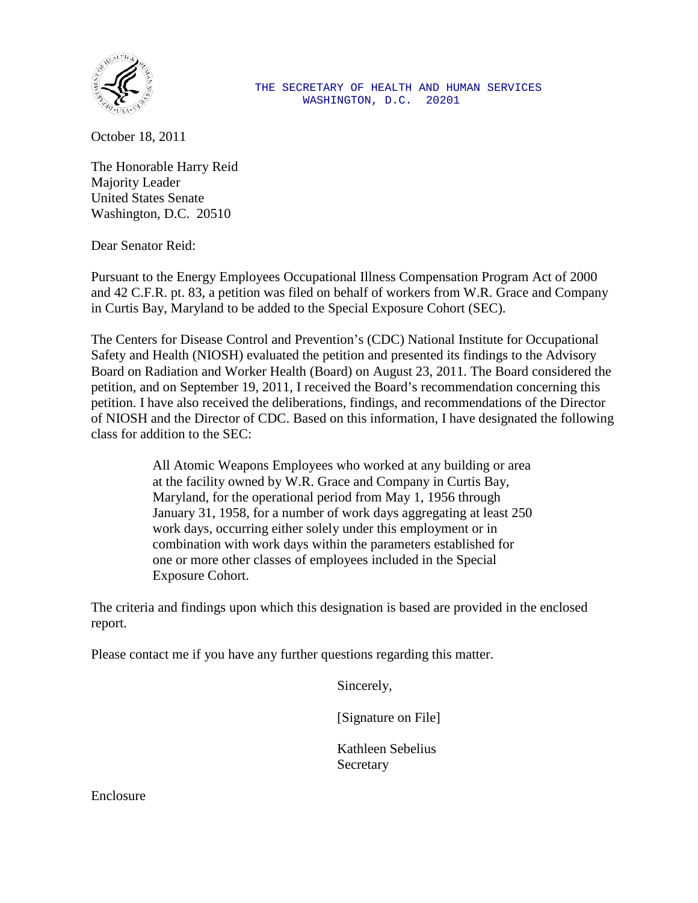

October 18, 2011

The Honorable Harry Reid Majority Leader United States Senate Washington, D.C. 20510

Dear Senator Reid:

Pursuant to the Energy Employees Occupational Illness Compensation Program Act of 2000 and 42 C.F.R. pt. 83, a petition was filed on behalf of workers from W.R. Grace and Company in Curtis Bay, Maryland to be added to the Special Exposure Cohort (SEC).

The Centers for Disease Control and Prevention's (CDC) National Institute for Occupational Safety and Health (NIOSH) evaluated the petition and presented its findings to the Advisory Board on Radiation and Worker Health (Board) on August 23, 2011. The Board considered the petition, and on September 19, 2011, I received the Board's recommendation concerning this petition. I have also received the deliberations, findings, and recommendations of the Director of NIOSH and the Director of CDC. Based on this information, I have designated the following class for addition to the SEC:

> All Atomic Weapons Employees who worked at any building or area at the facility owned by W.R. Grace and Company in Curtis Bay, Maryland, for the operational period from May 1, 1956 through January 31, 1958, for a number of work days aggregating at least 250 work days, occurring either solely under this employment or in combination with work days within the parameters established for one or more other classes of employees included in the Special Exposure Cohort.

The criteria and findings upon which this designation is based are provided in the enclosed report.

Please contact me if you have any further questions regarding this matter.

Sincerely,

[Signature on File]

Kathleen Sebelius Secretary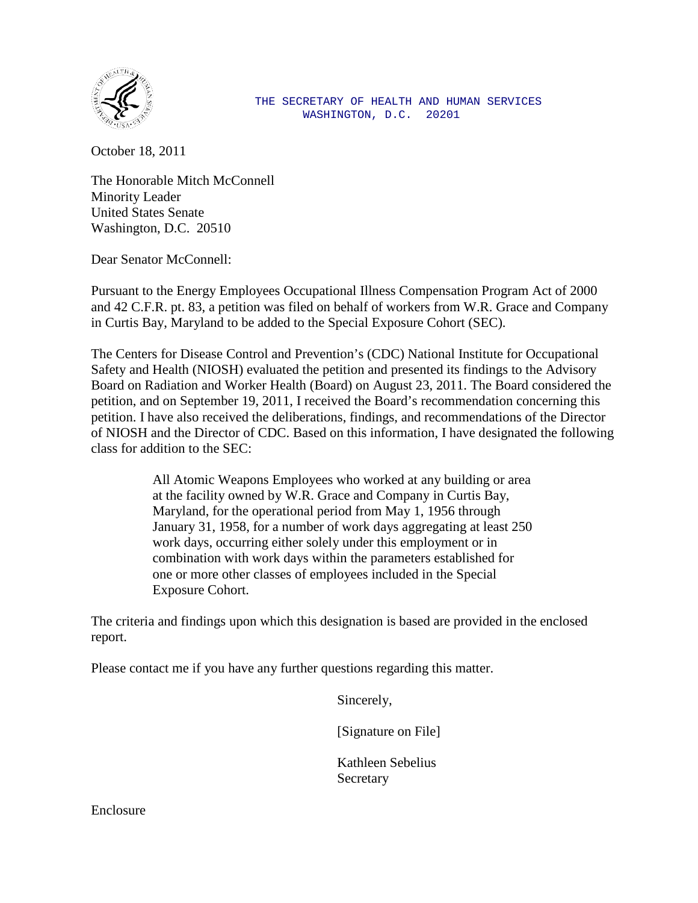

 THE SECRETARY OF HEALTH AND HUMAN SERVICES WASHINGTON, D.C. 20201

October 18, 2011

The Honorable Mitch McConnell Minority Leader United States Senate Washington, D.C. 20510

Dear Senator McConnell:

Pursuant to the Energy Employees Occupational Illness Compensation Program Act of 2000 and 42 C.F.R. pt. 83, a petition was filed on behalf of workers from W.R. Grace and Company in Curtis Bay, Maryland to be added to the Special Exposure Cohort (SEC).

The Centers for Disease Control and Prevention's (CDC) National Institute for Occupational Safety and Health (NIOSH) evaluated the petition and presented its findings to the Advisory Board on Radiation and Worker Health (Board) on August 23, 2011. The Board considered the petition, and on September 19, 2011, I received the Board's recommendation concerning this petition. I have also received the deliberations, findings, and recommendations of the Director of NIOSH and the Director of CDC. Based on this information, I have designated the following class for addition to the SEC:

> All Atomic Weapons Employees who worked at any building or area at the facility owned by W.R. Grace and Company in Curtis Bay, Maryland, for the operational period from May 1, 1956 through January 31, 1958, for a number of work days aggregating at least 250 work days, occurring either solely under this employment or in combination with work days within the parameters established for one or more other classes of employees included in the Special Exposure Cohort.

The criteria and findings upon which this designation is based are provided in the enclosed report.

Please contact me if you have any further questions regarding this matter.

Sincerely,

[Signature on File]

Kathleen Sebelius Secretary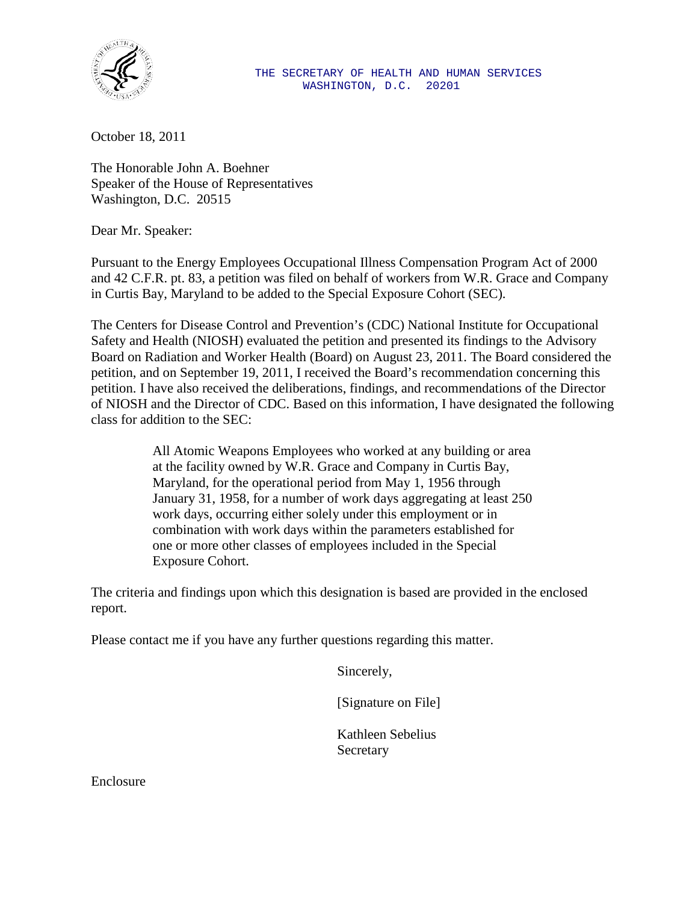

October 18, 2011

The Honorable John A. Boehner Speaker of the House of Representatives Washington, D.C. 20515

Dear Mr. Speaker:

Pursuant to the Energy Employees Occupational Illness Compensation Program Act of 2000 and 42 C.F.R. pt. 83, a petition was filed on behalf of workers from W.R. Grace and Company in Curtis Bay, Maryland to be added to the Special Exposure Cohort (SEC).

The Centers for Disease Control and Prevention's (CDC) National Institute for Occupational Safety and Health (NIOSH) evaluated the petition and presented its findings to the Advisory Board on Radiation and Worker Health (Board) on August 23, 2011. The Board considered the petition, and on September 19, 2011, I received the Board's recommendation concerning this petition. I have also received the deliberations, findings, and recommendations of the Director of NIOSH and the Director of CDC. Based on this information, I have designated the following class for addition to the SEC:

> All Atomic Weapons Employees who worked at any building or area at the facility owned by W.R. Grace and Company in Curtis Bay, Maryland, for the operational period from May 1, 1956 through January 31, 1958, for a number of work days aggregating at least 250 work days, occurring either solely under this employment or in combination with work days within the parameters established for one or more other classes of employees included in the Special Exposure Cohort.

The criteria and findings upon which this designation is based are provided in the enclosed report.

Please contact me if you have any further questions regarding this matter.

Sincerely,

[Signature on File]

Kathleen Sebelius Secretary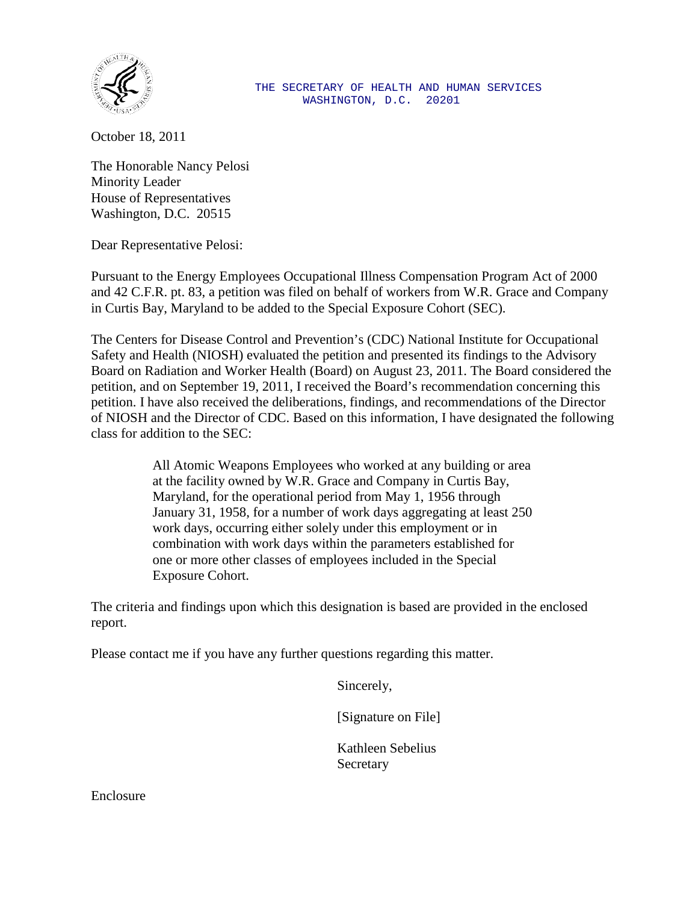

#### THE SECRETARY OF HEALTH AND HUMAN SERVICES WASHINGTON, D.C. 20201

October 18, 2011

The Honorable Nancy Pelosi Minority Leader House of Representatives Washington, D.C. 20515

Dear Representative Pelosi:

Pursuant to the Energy Employees Occupational Illness Compensation Program Act of 2000 and 42 C.F.R. pt. 83, a petition was filed on behalf of workers from W.R. Grace and Company in Curtis Bay, Maryland to be added to the Special Exposure Cohort (SEC).

The Centers for Disease Control and Prevention's (CDC) National Institute for Occupational Safety and Health (NIOSH) evaluated the petition and presented its findings to the Advisory Board on Radiation and Worker Health (Board) on August 23, 2011. The Board considered the petition, and on September 19, 2011, I received the Board's recommendation concerning this petition. I have also received the deliberations, findings, and recommendations of the Director of NIOSH and the Director of CDC. Based on this information, I have designated the following class for addition to the SEC:

> All Atomic Weapons Employees who worked at any building or area at the facility owned by W.R. Grace and Company in Curtis Bay, Maryland, for the operational period from May 1, 1956 through January 31, 1958, for a number of work days aggregating at least 250 work days, occurring either solely under this employment or in combination with work days within the parameters established for one or more other classes of employees included in the Special Exposure Cohort.

The criteria and findings upon which this designation is based are provided in the enclosed report.

Please contact me if you have any further questions regarding this matter.

Sincerely,

[Signature on File]

Kathleen Sebelius **Secretary**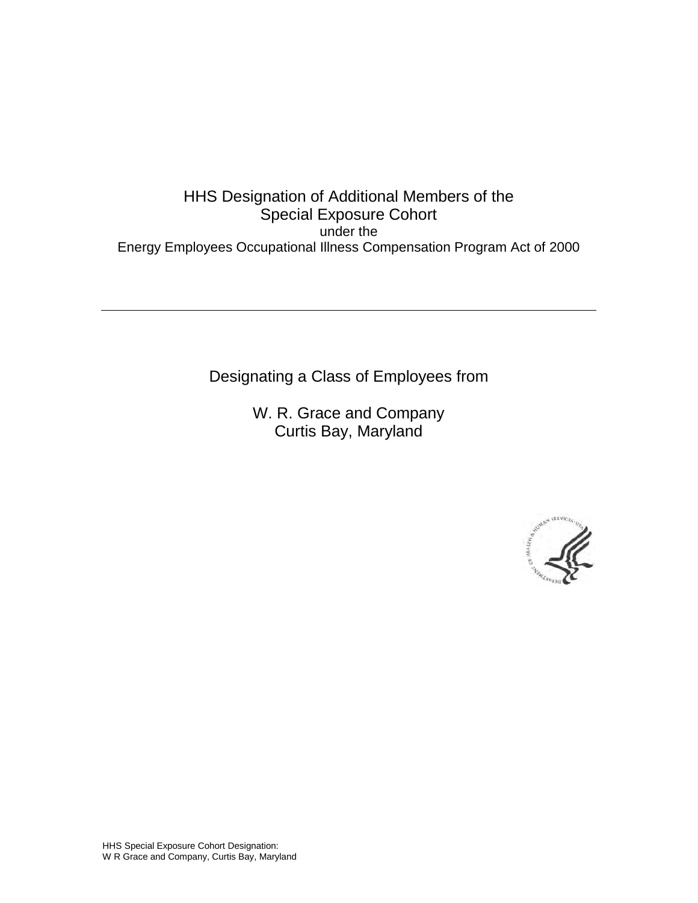# HHS Designation of Additional Members of the Special Exposure Cohort under the Energy Employees Occupational Illness Compensation Program Act of 2000

Designating a Class of Employees from

W. R. Grace and Company Curtis Bay, Maryland

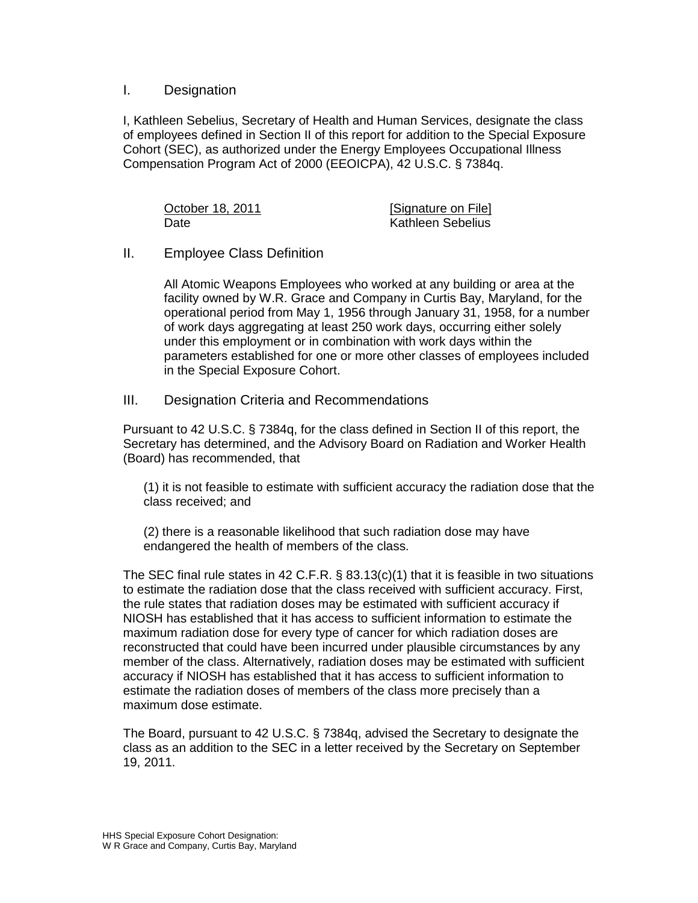### I. Designation

I, Kathleen Sebelius, Secretary of Health and Human Services, designate the class of employees defined in Section II of this report for addition to the Special Exposure Cohort (SEC), as authorized under the Energy Employees Occupational Illness Compensation Program Act of 2000 (EEOICPA), 42 U.S.C. § 7384q.

| October 18, 2011 | [Signature on File]      |
|------------------|--------------------------|
| Date             | <b>Kathleen Sebelius</b> |

### II. Employee Class Definition

All Atomic Weapons Employees who worked at any building or area at the facility owned by W.R. Grace and Company in Curtis Bay, Maryland, for the operational period from May 1, 1956 through January 31, 1958, for a number of work days aggregating at least 250 work days, occurring either solely under this employment or in combination with work days within the parameters established for one or more other classes of employees included in the Special Exposure Cohort.

III. Designation Criteria and Recommendations

Pursuant to 42 U.S.C. § 7384q, for the class defined in Section II of this report, the Secretary has determined, and the Advisory Board on Radiation and Worker Health (Board) has recommended, that

(1) it is not feasible to estimate with sufficient accuracy the radiation dose that the class received; and

(2) there is a reasonable likelihood that such radiation dose may have endangered the health of members of the class.

The SEC final rule states in 42 C.F.R. § 83.13(c)(1) that it is feasible in two situations to estimate the radiation dose that the class received with sufficient accuracy. First, the rule states that radiation doses may be estimated with sufficient accuracy if NIOSH has established that it has access to sufficient information to estimate the maximum radiation dose for every type of cancer for which radiation doses are reconstructed that could have been incurred under plausible circumstances by any member of the class. Alternatively, radiation doses may be estimated with sufficient accuracy if NIOSH has established that it has access to sufficient information to estimate the radiation doses of members of the class more precisely than a maximum dose estimate.

The Board, pursuant to 42 U.S.C. § 7384q, advised the Secretary to designate the class as an addition to the SEC in a letter received by the Secretary on September 19, 2011.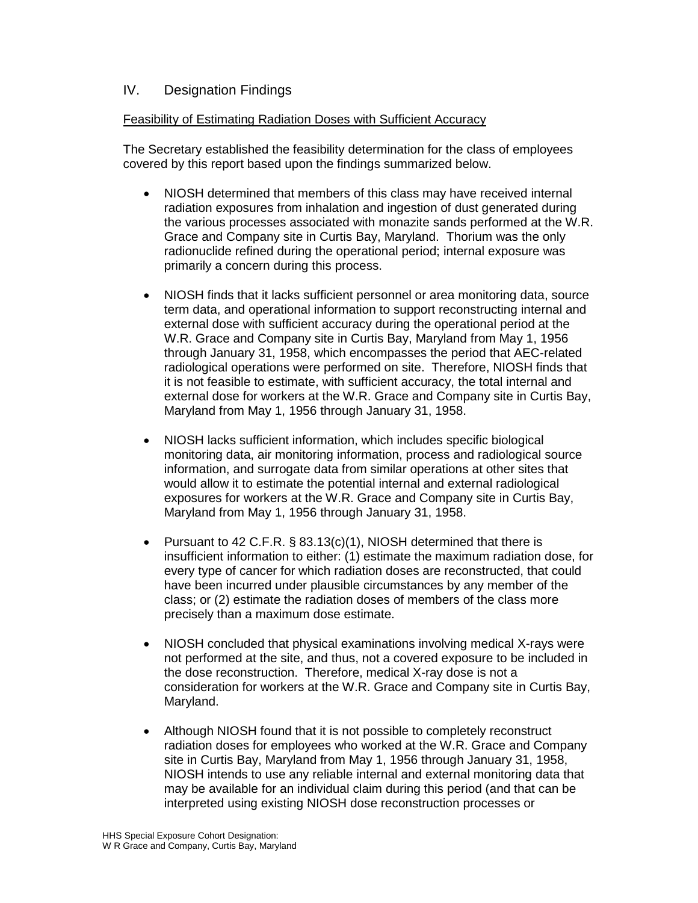### IV. Designation Findings

#### Feasibility of Estimating Radiation Doses with Sufficient Accuracy

The Secretary established the feasibility determination for the class of employees covered by this report based upon the findings summarized below.

- NIOSH determined that members of this class may have received internal radiation exposures from inhalation and ingestion of dust generated during the various processes associated with monazite sands performed at the W.R. Grace and Company site in Curtis Bay, Maryland. Thorium was the only radionuclide refined during the operational period; internal exposure was primarily a concern during this process.
- NIOSH finds that it lacks sufficient personnel or area monitoring data, source term data, and operational information to support reconstructing internal and external dose with sufficient accuracy during the operational period at the W.R. Grace and Company site in Curtis Bay, Maryland from May 1, 1956 through January 31, 1958, which encompasses the period that AEC-related radiological operations were performed on site. Therefore, NIOSH finds that it is not feasible to estimate, with sufficient accuracy, the total internal and external dose for workers at the W.R. Grace and Company site in Curtis Bay, Maryland from May 1, 1956 through January 31, 1958.
- NIOSH lacks sufficient information, which includes specific biological monitoring data, air monitoring information, process and radiological source information, and surrogate data from similar operations at other sites that would allow it to estimate the potential internal and external radiological exposures for workers at the W.R. Grace and Company site in Curtis Bay, Maryland from May 1, 1956 through January 31, 1958.
- Pursuant to 42 C.F.R.  $\S$  83.13(c)(1), NIOSH determined that there is insufficient information to either: (1) estimate the maximum radiation dose, for every type of cancer for which radiation doses are reconstructed, that could have been incurred under plausible circumstances by any member of the class; or (2) estimate the radiation doses of members of the class more precisely than a maximum dose estimate.
- NIOSH concluded that physical examinations involving medical X-rays were not performed at the site, and thus, not a covered exposure to be included in the dose reconstruction. Therefore, medical X-ray dose is not a consideration for workers at the W.R. Grace and Company site in Curtis Bay, Maryland.
- Although NIOSH found that it is not possible to completely reconstruct radiation doses for employees who worked at the W.R. Grace and Company site in Curtis Bay, Maryland from May 1, 1956 through January 31, 1958, NIOSH intends to use any reliable internal and external monitoring data that may be available for an individual claim during this period (and that can be interpreted using existing NIOSH dose reconstruction processes or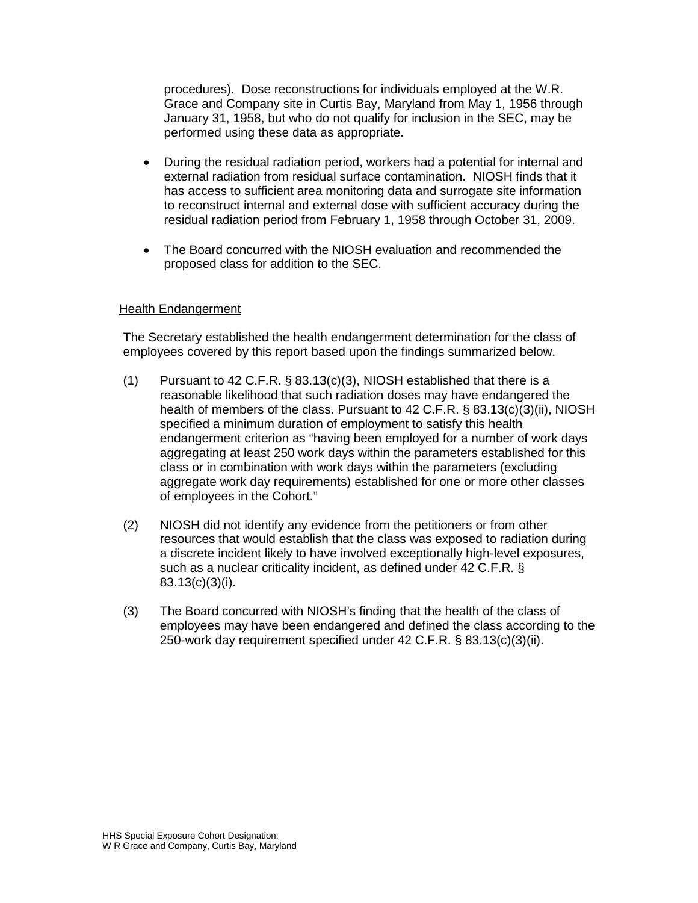procedures). Dose reconstructions for individuals employed at the W.R. Grace and Company site in Curtis Bay, Maryland from May 1, 1956 through January 31, 1958, but who do not qualify for inclusion in the SEC, may be performed using these data as appropriate.

- During the residual radiation period, workers had a potential for internal and external radiation from residual surface contamination. NIOSH finds that it has access to sufficient area monitoring data and surrogate site information to reconstruct internal and external dose with sufficient accuracy during the residual radiation period from February 1, 1958 through October 31, 2009.
- The Board concurred with the NIOSH evaluation and recommended the proposed class for addition to the SEC.

### Health Endangerment

The Secretary established the health endangerment determination for the class of employees covered by this report based upon the findings summarized below.

- (1) Pursuant to 42 C.F.R. § 83.13(c)(3), NIOSH established that there is a reasonable likelihood that such radiation doses may have endangered the health of members of the class. Pursuant to 42 C.F.R. § 83.13(c)(3)(ii), NIOSH specified a minimum duration of employment to satisfy this health endangerment criterion as "having been employed for a number of work days aggregating at least 250 work days within the parameters established for this class or in combination with work days within the parameters (excluding aggregate work day requirements) established for one or more other classes of employees in the Cohort."
- (2) NIOSH did not identify any evidence from the petitioners or from other resources that would establish that the class was exposed to radiation during a discrete incident likely to have involved exceptionally high-level exposures, such as a nuclear criticality incident, as defined under 42 C.F.R. § 83.13(c)(3)(i).
- (3) The Board concurred with NIOSH's finding that the health of the class of employees may have been endangered and defined the class according to the 250-work day requirement specified under 42 C.F.R. § 83.13(c)(3)(ii).